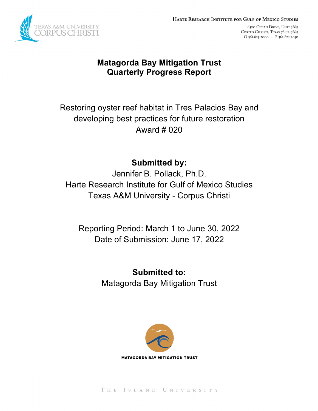

6300 OCEAN DRIVE, UNIT 5869 CORPUS CHRISTI, TEXAS 78412-5869 O 361.825.2000 · F 361.825.2050

## **Matagorda Bay Mitigation Trust Quarterly Progress Report**

Restoring oyster reef habitat in Tres Palacios Bay and developing best practices for future restoration Award # 020

# **Submitted by:**

Jennifer B. Pollack, Ph.D. Harte Research Institute for Gulf of Mexico Studies Texas A&M University - Corpus Christi

Reporting Period: March 1 to June 30, 2022 Date of Submission: June 17, 2022

> **Submitted to:** Matagorda Bay Mitigation Trust



THE ISLAND UNIVERSITY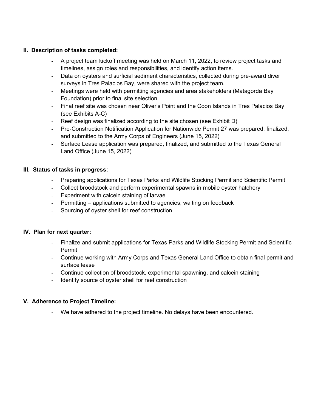### **II. Description of tasks completed:**

- A project team kickoff meeting was held on March 11, 2022, to review project tasks and timelines, assign roles and responsibilities, and identify action items.
- Data on oysters and surficial sediment characteristics, collected during pre-award diver surveys in Tres Palacios Bay, were shared with the project team.
- Meetings were held with permitting agencies and area stakeholders (Matagorda Bay Foundation) prior to final site selection.
- Final reef site was chosen near Oliver's Point and the Coon Islands in Tres Palacios Bay (see Exhibits A-C)
- Reef design was finalized according to the site chosen (see Exhibit D)
- Pre-Construction Notification Application for Nationwide Permit 27 was prepared, finalized, and submitted to the Army Corps of Engineers (June 15, 2022)
- Surface Lease application was prepared, finalized, and submitted to the Texas General Land Office (June 15, 2022)

### **III. Status of tasks in progress:**

- Preparing applications for Texas Parks and Wildlife Stocking Permit and Scientific Permit
- Collect broodstock and perform experimental spawns in mobile oyster hatchery
- Experiment with calcein staining of larvae
- Permitting applications submitted to agencies, waiting on feedback
- Sourcing of oyster shell for reef construction

#### **IV. Plan for next quarter:**

- Finalize and submit applications for Texas Parks and Wildlife Stocking Permit and Scientific Permit
- Continue working with Army Corps and Texas General Land Office to obtain final permit and surface lease
- Continue collection of broodstock, experimental spawning, and calcein staining
- Identify source of oyster shell for reef construction

### **V. Adherence to Project Timeline:**

- We have adhered to the project timeline. No delays have been encountered.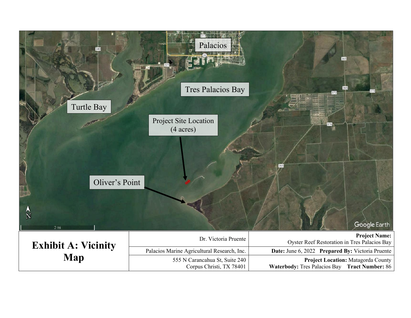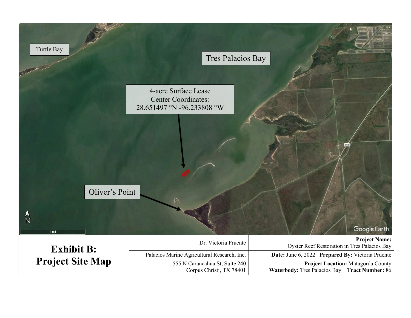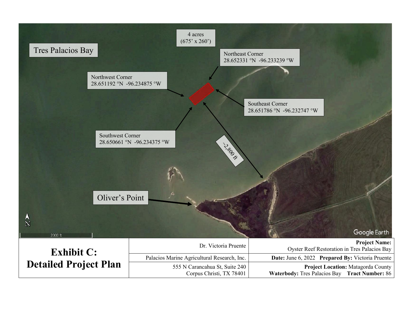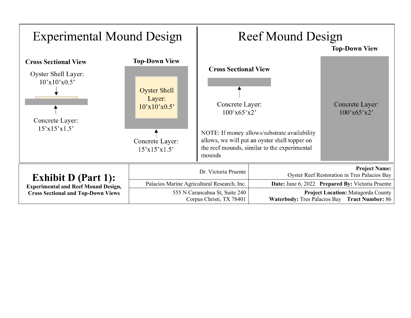